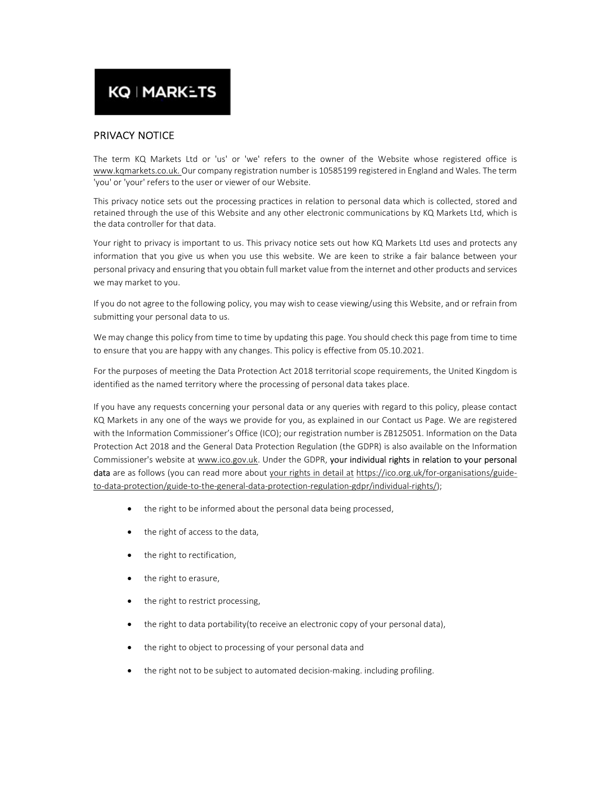# **KQ | MARKETS**

# PRIVACY NOTICE

The term KQ Markets Ltd or 'us' or 'we' refers to the owner of the Website whose registered office is www.kqmarkets.co.uk. Our company registration number is 10585199 registered in England and Wales. The term 'you' or 'your' refers to the user or viewer of our Website.

This privacy notice sets out the processing practices in relation to personal data which is collected, stored and retained through the use of this Website and any other electronic communications by KQ Markets Ltd, which is the data controller for that data.

Your right to privacy is important to us. This privacy notice sets out how KQ Markets Ltd uses and protects any information that you give us when you use this website. We are keen to strike a fair balance between your personal privacy and ensuring that you obtain full market value from the internet and other products and services we may market to you.

If you do not agree to the following policy, you may wish to cease viewing/using this Website, and or refrain from submitting your personal data to us.

We may change this policy from time to time by updating this page. You should check this page from time to time to ensure that you are happy with any changes. This policy is effective from 05.10.2021.

For the purposes of meeting the Data Protection Act 2018 territorial scope requirements, the United Kingdom is identified as the named territory where the processing of personal data takes place.

If you have any requests concerning your personal data or any queries with regard to this policy, please contact KQ Markets in any one of the ways we provide for you, as explained in our Contact us Page. We are registered with the Information Commissioner's Office (ICO); our registration number is ZB125051. Information on the Data Protection Act 2018 and the General Data Protection Regulation (the GDPR) is also available on the Information Commissioner's website at www.ico.gov.uk. Under the GDPR, your individual rights in relation to your personal data are as follows (you can read more about your rights in detail at https://ico.org.uk/for-organisations/guideto-data-protection/guide-to-the-general-data-protection-regulation-gdpr/individual-rights/);

- the right to be informed about the personal data being processed,
- the right of access to the data,
- the right to rectification,
- the right to erasure,
- the right to restrict processing,
- the right to data portability(to receive an electronic copy of your personal data),
- the right to object to processing of your personal data and
- the right not to be subject to automated decision-making. including profiling.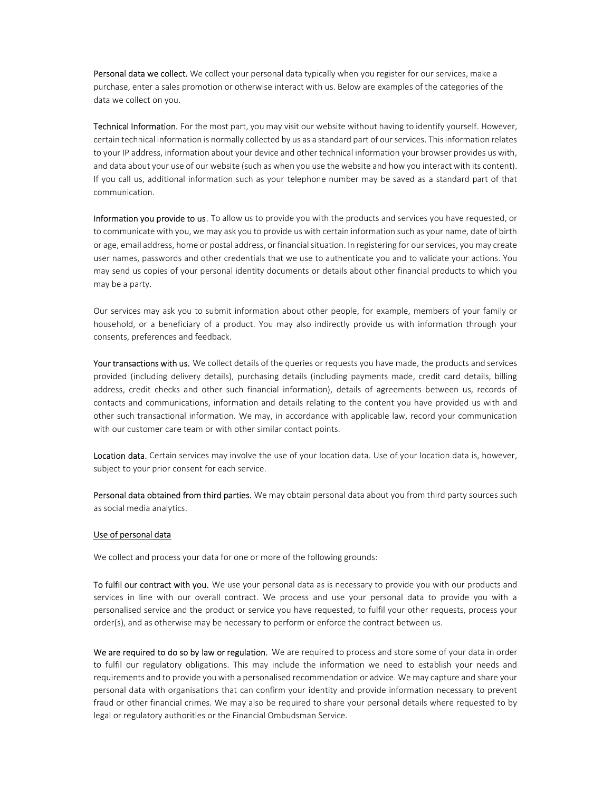Personal data we collect. We collect your personal data typically when you register for our services, make a purchase, enter a sales promotion or otherwise interact with us. Below are examples of the categories of the data we collect on you.

Technical Information. For the most part, you may visit our website without having to identify yourself. However, certain technical information is normally collected by us as a standard part of our services. This information relates to your IP address, information about your device and other technical information your browser provides us with, and data about your use of our website (such as when you use the website and how you interact with its content). If you call us, additional information such as your telephone number may be saved as a standard part of that communication.

Information you provide to us. To allow us to provide you with the products and services you have requested, or to communicate with you, we may ask you to provide us with certain information such as your name, date of birth or age, email address, home or postal address, or financial situation. In registering for our services, you may create user names, passwords and other credentials that we use to authenticate you and to validate your actions. You may send us copies of your personal identity documents or details about other financial products to which you may be a party.

Our services may ask you to submit information about other people, for example, members of your family or household, or a beneficiary of a product. You may also indirectly provide us with information through your consents, preferences and feedback.

Your transactions with us. We collect details of the queries or requests you have made, the products and services provided (including delivery details), purchasing details (including payments made, credit card details, billing address, credit checks and other such financial information), details of agreements between us, records of contacts and communications, information and details relating to the content you have provided us with and other such transactional information. We may, in accordance with applicable law, record your communication with our customer care team or with other similar contact points.

Location data. Certain services may involve the use of your location data. Use of your location data is, however, subject to your prior consent for each service.

Personal data obtained from third parties. We may obtain personal data about you from third party sources such as social media analytics.

#### Use of personal data

We collect and process your data for one or more of the following grounds:

To fulfil our contract with you. We use your personal data as is necessary to provide you with our products and services in line with our overall contract. We process and use your personal data to provide you with a personalised service and the product or service you have requested, to fulfil your other requests, process your order(s), and as otherwise may be necessary to perform or enforce the contract between us.

We are required to do so by law or regulation. We are required to process and store some of your data in order to fulfil our regulatory obligations. This may include the information we need to establish your needs and requirements and to provide you with a personalised recommendation or advice. We may capture and share your personal data with organisations that can confirm your identity and provide information necessary to prevent fraud or other financial crimes. We may also be required to share your personal details where requested to by legal or regulatory authorities or the Financial Ombudsman Service.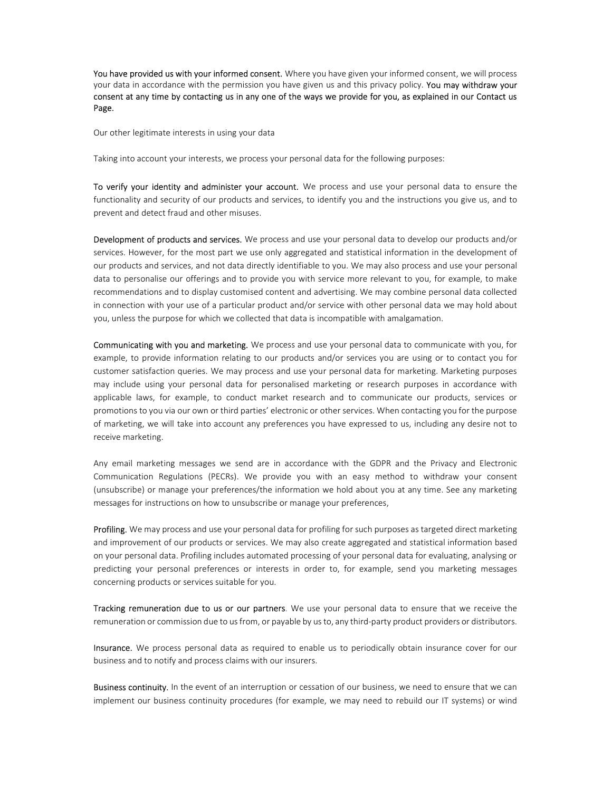You have provided us with your informed consent. Where you have given your informed consent, we will process your data in accordance with the permission you have given us and this privacy policy. You may withdraw your consent at any time by contacting us in any one of the ways we provide for you, as explained in our Contact us Page.

Our other legitimate interests in using your data

Taking into account your interests, we process your personal data for the following purposes:

To verify your identity and administer your account. We process and use your personal data to ensure the functionality and security of our products and services, to identify you and the instructions you give us, and to prevent and detect fraud and other misuses.

Development of products and services. We process and use your personal data to develop our products and/or services. However, for the most part we use only aggregated and statistical information in the development of our products and services, and not data directly identifiable to you. We may also process and use your personal data to personalise our offerings and to provide you with service more relevant to you, for example, to make recommendations and to display customised content and advertising. We may combine personal data collected in connection with your use of a particular product and/or service with other personal data we may hold about you, unless the purpose for which we collected that data is incompatible with amalgamation.

Communicating with you and marketing. We process and use your personal data to communicate with you, for example, to provide information relating to our products and/or services you are using or to contact you for customer satisfaction queries. We may process and use your personal data for marketing. Marketing purposes may include using your personal data for personalised marketing or research purposes in accordance with applicable laws, for example, to conduct market research and to communicate our products, services or promotions to you via our own or third parties' electronic or other services. When contacting you for the purpose of marketing, we will take into account any preferences you have expressed to us, including any desire not to receive marketing.

Any email marketing messages we send are in accordance with the GDPR and the Privacy and Electronic Communication Regulations (PECRs). We provide you with an easy method to withdraw your consent (unsubscribe) or manage your preferences/the information we hold about you at any time. See any marketing messages for instructions on how to unsubscribe or manage your preferences,

Profiling. We may process and use your personal data for profiling for such purposes as targeted direct marketing and improvement of our products or services. We may also create aggregated and statistical information based on your personal data. Profiling includes automated processing of your personal data for evaluating, analysing or predicting your personal preferences or interests in order to, for example, send you marketing messages concerning products or services suitable for you.

Tracking remuneration due to us or our partners. We use your personal data to ensure that we receive the remuneration or commission due to us from, or payable by us to, any third-party product providers or distributors.

Insurance. We process personal data as required to enable us to periodically obtain insurance cover for our business and to notify and process claims with our insurers.

Business continuity. In the event of an interruption or cessation of our business, we need to ensure that we can implement our business continuity procedures (for example, we may need to rebuild our IT systems) or wind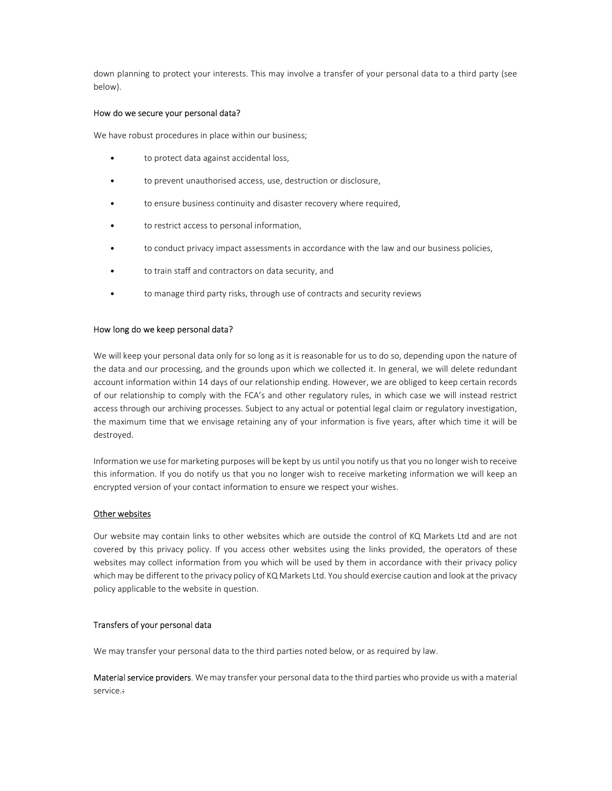down planning to protect your interests. This may involve a transfer of your personal data to a third party (see below).

### How do we secure your personal data?

We have robust procedures in place within our business;

- to protect data against accidental loss,
- to prevent unauthorised access, use, destruction or disclosure,
- to ensure business continuity and disaster recovery where required,
- to restrict access to personal information,
- to conduct privacy impact assessments in accordance with the law and our business policies,
- to train staff and contractors on data security, and
- to manage third party risks, through use of contracts and security reviews

#### How long do we keep personal data?

We will keep your personal data only for so long as it is reasonable for us to do so, depending upon the nature of the data and our processing, and the grounds upon which we collected it. In general, we will delete redundant account information within 14 days of our relationship ending. However, we are obliged to keep certain records of our relationship to comply with the FCA's and other regulatory rules, in which case we will instead restrict access through our archiving processes. Subject to any actual or potential legal claim or regulatory investigation, the maximum time that we envisage retaining any of your information is five years, after which time it will be destroyed.

Information we use for marketing purposes will be kept by us until you notify us that you no longer wish to receive this information. If you do notify us that you no longer wish to receive marketing information we will keep an encrypted version of your contact information to ensure we respect your wishes.

# Other websites

Our website may contain links to other websites which are outside the control of KQ Markets Ltd and are not covered by this privacy policy. If you access other websites using the links provided, the operators of these websites may collect information from you which will be used by them in accordance with their privacy policy which may be different to the privacy policy of KQ Markets Ltd. You should exercise caution and look at the privacy policy applicable to the website in question.

# Transfers of your personal data

We may transfer your personal data to the third parties noted below, or as required by law.

Material service providers. We may transfer your personal data to the third parties who provide us with a material service.: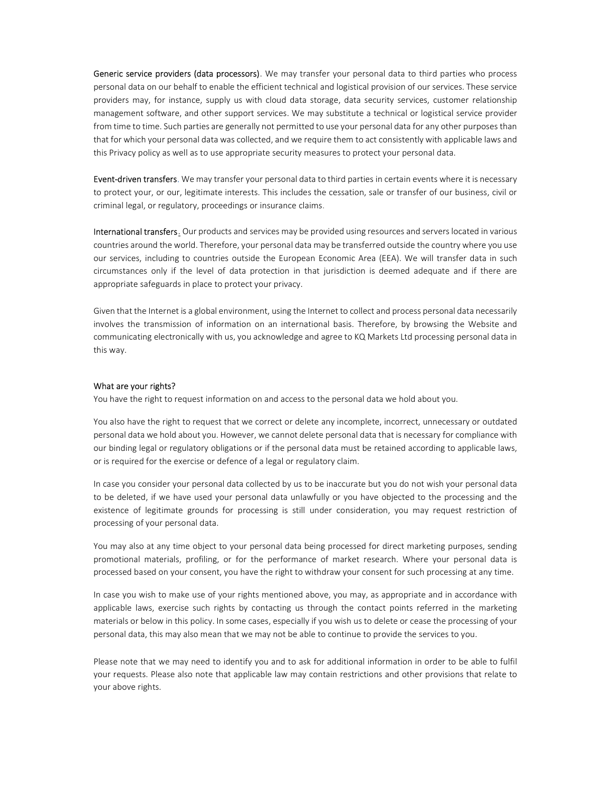Generic service providers (data processors). We may transfer your personal data to third parties who process personal data on our behalf to enable the efficient technical and logistical provision of our services. These service providers may, for instance, supply us with cloud data storage, data security services, customer relationship management software, and other support services. We may substitute a technical or logistical service provider from time to time. Such parties are generally not permitted to use your personal data for any other purposes than that for which your personal data was collected, and we require them to act consistently with applicable laws and this Privacy policy as well as to use appropriate security measures to protect your personal data.

Event-driven transfers. We may transfer your personal data to third parties in certain events where it is necessary to protect your, or our, legitimate interests. This includes the cessation, sale or transfer of our business, civil or criminal legal, or regulatory, proceedings or insurance claims.

International transfers. Our products and services may be provided using resources and servers located in various countries around the world. Therefore, your personal data may be transferred outside the country where you use our services, including to countries outside the European Economic Area (EEA). We will transfer data in such circumstances only if the level of data protection in that jurisdiction is deemed adequate and if there are appropriate safeguards in place to protect your privacy.

Given that the Internet is a global environment, using the Internet to collect and process personal data necessarily involves the transmission of information on an international basis. Therefore, by browsing the Website and communicating electronically with us, you acknowledge and agree to KQ Markets Ltd processing personal data in this way.

#### What are your rights?

You have the right to request information on and access to the personal data we hold about you.

You also have the right to request that we correct or delete any incomplete, incorrect, unnecessary or outdated personal data we hold about you. However, we cannot delete personal data that is necessary for compliance with our binding legal or regulatory obligations or if the personal data must be retained according to applicable laws, or is required for the exercise or defence of a legal or regulatory claim.

In case you consider your personal data collected by us to be inaccurate but you do not wish your personal data to be deleted, if we have used your personal data unlawfully or you have objected to the processing and the existence of legitimate grounds for processing is still under consideration, you may request restriction of processing of your personal data.

You may also at any time object to your personal data being processed for direct marketing purposes, sending promotional materials, profiling, or for the performance of market research. Where your personal data is processed based on your consent, you have the right to withdraw your consent for such processing at any time.

In case you wish to make use of your rights mentioned above, you may, as appropriate and in accordance with applicable laws, exercise such rights by contacting us through the contact points referred in the marketing materials or below in this policy. In some cases, especially if you wish us to delete or cease the processing of your personal data, this may also mean that we may not be able to continue to provide the services to you.

Please note that we may need to identify you and to ask for additional information in order to be able to fulfil your requests. Please also note that applicable law may contain restrictions and other provisions that relate to your above rights.